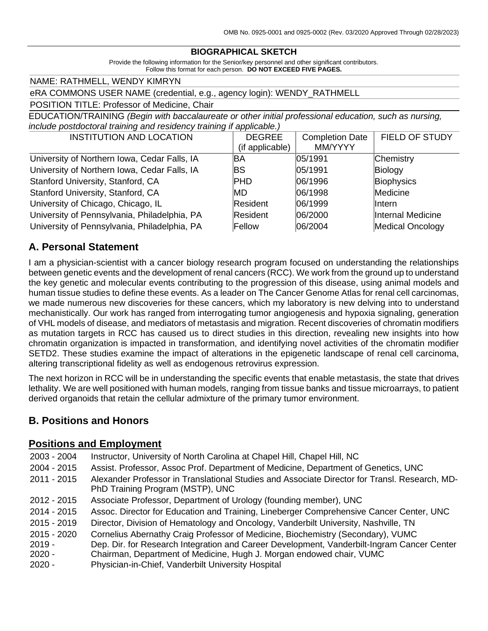#### **BIOGRAPHICAL SKETCH**

Provide the following information for the Senior/key personnel and other significant contributors. Follow this format for each person. **DO NOT EXCEED FIVE PAGES.**

NAME: RATHMELL, WENDY KIMRYN

eRA COMMONS USER NAME (credential, e.g., agency login): WENDY\_RATHMELL

POSITION TITLE: Professor of Medicine, Chair

EDUCATION/TRAINING *(Begin with baccalaureate or other initial professional education, such as nursing, include postdoctoral training and residency training if applicable.)*

| <b>INSTITUTION AND LOCATION</b>              | <b>DEGREE</b>   | <b>Completion Date</b> | <b>FIELD OF STUDY</b>   |
|----------------------------------------------|-----------------|------------------------|-------------------------|
|                                              | (if applicable) | MM/YYYY                |                         |
| University of Northern Iowa, Cedar Falls, IA | ΒA              | 05/1991                | Chemistry               |
| University of Northern Iowa, Cedar Falls, IA | BS              | 05/1991                | Biology                 |
| Stanford University, Stanford, CA            | <b>PHD</b>      | 06/1996                | Biophysics              |
| Stanford University, Stanford, CA            | MD.             | 06/1998                | Medicine                |
| University of Chicago, Chicago, IL           | Resident        | 06/1999                | llntern                 |
| University of Pennsylvania, Philadelphia, PA | Resident        | 06/2000                | Internal Medicine       |
| University of Pennsylvania, Philadelphia, PA | Fellow          | 06/2004                | <b>Medical Oncology</b> |

### **A. Personal Statement**

I am a physician-scientist with a cancer biology research program focused on understanding the relationships between genetic events and the development of renal cancers (RCC). We work from the ground up to understand the key genetic and molecular events contributing to the progression of this disease, using animal models and human tissue studies to define these events. As a leader on The Cancer Genome Atlas for renal cell carcinomas, we made numerous new discoveries for these cancers, which my laboratory is new delving into to understand mechanistically. Our work has ranged from interrogating tumor angiogenesis and hypoxia signaling, generation of VHL models of disease, and mediators of metastasis and migration. Recent discoveries of chromatin modifiers as mutation targets in RCC has caused us to direct studies in this direction, revealing new insights into how chromatin organization is impacted in transformation, and identifying novel activities of the chromatin modifier SETD2. These studies examine the impact of alterations in the epigenetic landscape of renal cell carcinoma, altering transcriptional fidelity as well as endogenous retrovirus expression.

The next horizon in RCC will be in understanding the specific events that enable metastasis, the state that drives lethality. We are well positioned with human models, ranging from tissue banks and tissue microarrays, to patient derived organoids that retain the cellular admixture of the primary tumor environment.

### **B. Positions and Honors**

#### **Positions and Employment**

| 2003 - 2004   | Instructor, University of North Carolina at Chapel Hill, Chapel Hill, NC                                                          |
|---------------|-----------------------------------------------------------------------------------------------------------------------------------|
| $2004 - 2015$ | Assist. Professor, Assoc Prof. Department of Medicine, Department of Genetics, UNC                                                |
| $2011 - 2015$ | Alexander Professor in Translational Studies and Associate Director for Transl. Research, MD-<br>PhD Training Program (MSTP), UNC |
| 2012 - 2015   | Associate Professor, Department of Urology (founding member), UNC                                                                 |
| 2014 - 2015   | Assoc. Director for Education and Training, Lineberger Comprehensive Cancer Center, UNC                                           |
| $2015 - 2019$ | Director, Division of Hematology and Oncology, Vanderbilt University, Nashville, TN                                               |
| 2015 - 2020   | Cornelius Abernathy Craig Professor of Medicine, Biochemistry (Secondary), VUMC                                                   |
| $2019 -$      | Dep. Dir. for Research Integration and Career Development, Vanderbilt-Ingram Cancer Center                                        |
| $2020 -$      | Chairman, Department of Medicine, Hugh J. Morgan endowed chair, VUMC                                                              |
| $2020 -$      | Physician-in-Chief, Vanderbilt University Hospital                                                                                |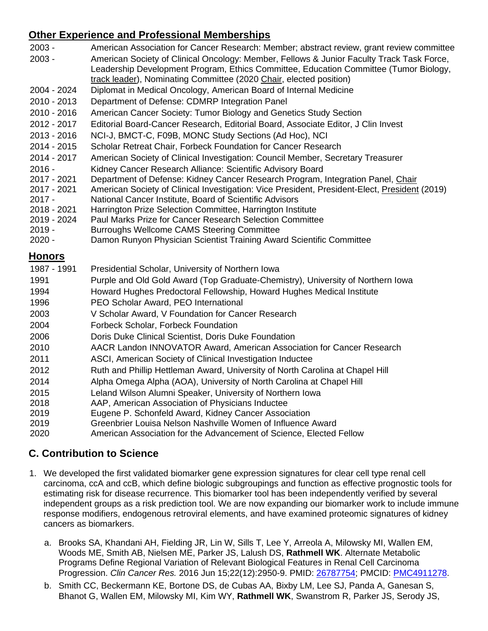# **Other Experience and Professional Memberships**

| $2003 -$      | American Association for Cancer Research: Member; abstract review, grant review committee     |
|---------------|-----------------------------------------------------------------------------------------------|
| $2003 -$      | American Society of Clinical Oncology: Member, Fellows & Junior Faculty Track Task Force,     |
|               | Leadership Development Program, Ethics Committee, Education Committee (Tumor Biology,         |
|               | track leader), Nominating Committee (2020 Chair, elected position)                            |
| 2004 - 2024   | Diplomat in Medical Oncology, American Board of Internal Medicine                             |
| 2010 - 2013   | Department of Defense: CDMRP Integration Panel                                                |
| 2010 - 2016   | American Cancer Society: Tumor Biology and Genetics Study Section                             |
| 2012 - 2017   | Editorial Board-Cancer Research, Editorial Board, Associate Editor, J Clin Invest             |
| 2013 - 2016   | NCI-J, BMCT-C, F09B, MONC Study Sections (Ad Hoc), NCI                                        |
| 2014 - 2015   | Scholar Retreat Chair, Forbeck Foundation for Cancer Research                                 |
| 2014 - 2017   | American Society of Clinical Investigation: Council Member, Secretary Treasurer               |
| $2016 -$      | Kidney Cancer Research Alliance: Scientific Advisory Board                                    |
| 2017 - 2021   | Department of Defense: Kidney Cancer Research Program, Integration Panel, Chair               |
| 2017 - 2021   | American Society of Clinical Investigation: Vice President, President-Elect, President (2019) |
| $2017 -$      | National Cancer Institute, Board of Scientific Advisors                                       |
| 2018 - 2021   | Harrington Prize Selection Committee, Harrington Institute                                    |
| 2019 - 2024   | Paul Marks Prize for Cancer Research Selection Committee                                      |
| $2019 -$      | Burroughs Wellcome CAMS Steering Committee                                                    |
| $2020 -$      | Damon Runyon Physician Scientist Training Award Scientific Committee                          |
| <b>Honors</b> |                                                                                               |
| 1987 - 1991   | Presidential Scholar, University of Northern Iowa                                             |
| 1991          | Purple and Old Gold Award (Top Graduate-Chemistry), University of Northern Iowa               |
| 1994          | Howard Hughes Predoctoral Fellowship, Howard Hughes Medical Institute                         |

- 1996 PEO Scholar Award, PEO International
- 2003 V Scholar Award, V Foundation for Cancer Research
- 2004 Forbeck Scholar, Forbeck Foundation
- 2006 Doris Duke Clinical Scientist, Doris Duke Foundation
- 2010 AACR Landon INNOVATOR Award, American Association for Cancer Research
- 2011 ASCI, American Society of Clinical Investigation Inductee
- 2012 Ruth and Phillip Hettleman Award, University of North Carolina at Chapel Hill
- 2014 Alpha Omega Alpha (AOA), University of North Carolina at Chapel Hill
- 2015 Leland Wilson Alumni Speaker, University of Northern Iowa
- 2018 AAP, American Association of Physicians Inductee
- 2019 Eugene P. Schonfeld Award, Kidney Cancer Association
- 2019 Greenbrier Louisa Nelson Nashville Women of Influence Award
- 2020 American Association for the Advancement of Science, Elected Fellow

## **C. Contribution to Science**

- 1. We developed the first validated biomarker gene expression signatures for clear cell type renal cell carcinoma, ccA and ccB, which define biologic subgroupings and function as effective prognostic tools for estimating risk for disease recurrence. This biomarker tool has been independently verified by several independent groups as a risk prediction tool. We are now expanding our biomarker work to include immune response modifiers, endogenous retroviral elements, and have examined proteomic signatures of kidney cancers as biomarkers.
	- a. Brooks SA, Khandani AH, Fielding JR, Lin W, Sills T, Lee Y, Arreola A, Milowsky MI, Wallen EM, Woods ME, Smith AB, Nielsen ME, Parker JS, Lalush DS, **Rathmell WK**. Alternate Metabolic Programs Define Regional Variation of Relevant Biological Features in Renal Cell Carcinoma Progression. *Clin Cancer Res.* 2016 Jun 15;22(12):2950-9. PMID: [26787754;](http://www.ncbi.nlm.nih.gov/pubmed/26787754/) PMCID: [PMC4911278.](http://www.ncbi.nlm.nih.gov/pmc/articles/PMC4911278/)
	- b. Smith CC, Beckermann KE, Bortone DS, de Cubas AA, Bixby LM, Lee SJ, Panda A, Ganesan S, Bhanot G, Wallen EM, Milowsky MI, Kim WY, **Rathmell WK**, Swanstrom R, Parker JS, Serody JS,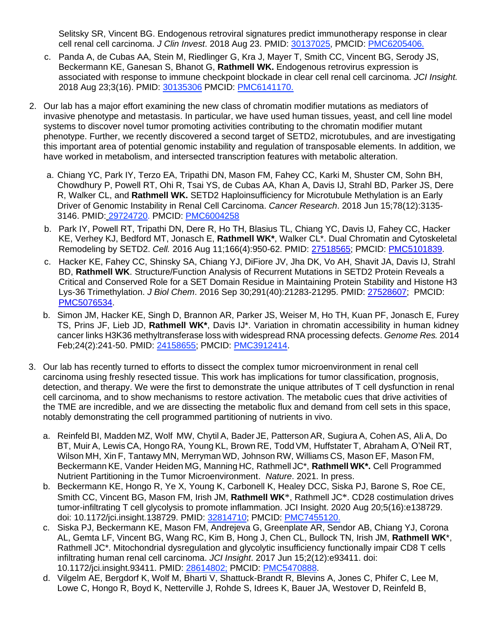Selitsky SR, Vincent BG. Endogenous retroviral signatures predict immunotherapy response in clear cell renal cell carcinoma. *J Clin Invest*. 2018 Aug 23. PMID: [30137025,](https://www.ncbi.nlm.nih.gov/pubmed/30137025) PMCID: [PMC6205406.](https://www.ncbi.nlm.nih.gov/pmc/articles/PMC6205406/)

- c. Panda A, de Cubas AA, Stein M, Riedlinger G, Kra J, Mayer T, Smith CC, Vincent BG, Serody JS, Beckermann KE, Ganesan S, Bhanot G, **Rathmell WK.** Endogenous retrovirus expression is associated with response to immune checkpoint blockade in clear cell renal cell carcinoma. *JCI Insight.* 2018 Aug 23;3(16). PMID: [30135306](https://www.ncbi.nlm.nih.gov/pubmed/30135306) PMCID: [PMC6141170.](https://www.ncbi.nlm.nih.gov/pmc/articles/PMC6141170/)
- 2. Our lab has a major effort examining the new class of chromatin modifier mutations as mediators of invasive phenotype and metastasis. In particular, we have used human tissues, yeast, and cell line model systems to discover novel tumor promoting activities contributing to the chromatin modifier mutant phenotype. Further, we recently discovered a second target of SETD2, microtubules, and are investigating this important area of potential genomic instability and regulation of transposable elements. In addition, we have worked in metabolism, and intersected transcription features with metabolic alteration.
	- a. Chiang YC, Park IY, Terzo EA, Tripathi DN, Mason FM, Fahey CC, Karki M, Shuster CM, Sohn BH, Chowdhury P, Powell RT, Ohi R, Tsai YS, de Cubas AA, Khan A, Davis IJ, Strahl BD, Parker JS, Dere R, Walker CL, and **Rathmell WK.** SETD2 Haploinsufficiency for Microtubule Methylation is an Early Driver of Genomic Instability in Renal Cell Carcinoma. *Cancer Research*. 2018 Jun 15;78(12):3135- 3146. PMID: [29724720.](https://www.ncbi.nlm.nih.gov/pubmed/29724720) PMCID: [PMC6004258](https://www.ncbi.nlm.nih.gov/pmc/articles/PMC6004258/)
	- b. Park IY, Powell RT, Tripathi DN, Dere R, Ho TH, Blasius TL, Chiang YC, Davis IJ, Fahey CC, Hacker KE, Verhey KJ, Bedford MT, Jonasch E, **Rathmell WK\***, Walker CL\*. Dual Chromatin and Cytoskeletal Remodeling by SETD2. *Cell.* 2016 Aug 11;166(4):950-62. PMID: [27518565;](http://www.ncbi.nlm.nih.gov/pubmed/27518565/) PMCID: [PMC5101839.](http://www.ncbi.nlm.nih.gov/pmc/articles/PMC5101839/)
	- c. Hacker KE, Fahey CC, Shinsky SA, Chiang YJ, DiFiore JV, Jha DK, Vo AH, Shavit JA, Davis IJ, Strahl BD, **Rathmell WK**. Structure/Function Analysis of Recurrent Mutations in SETD2 Protein Reveals a Critical and Conserved Role for a SET Domain Residue in Maintaining Protein Stability and Histone H3 Lys-36 Trimethylation. *J Biol Chem*. 2016 Sep 30;291(40):21283-21295. PMID: [27528607;](http://www.ncbi.nlm.nih.gov/pubmed/27528607/) PMCID: [PMC5076534.](http://www.ncbi.nlm.nih.gov/pmc/articles/PMC5076534/)
	- b. Simon JM, Hacker KE, Singh D, Brannon AR, Parker JS, Weiser M, Ho TH, Kuan PF, Jonasch E, Furey TS, Prins JF, Lieb JD, **Rathmell WK\***, Davis IJ\*. Variation in chromatin accessibility in human kidney cancer links H3K36 methyltransferase loss with widespread RNA processing defects. *Genome Res.* 2014 Feb;24(2):241-50. PMID: 24158655; PMCID: PMC3912414.
- 3. Our lab has recently turned to efforts to dissect the complex tumor microenvironment in renal cell carcinoma using freshly resected tissue. This work has implications for tumor classification, prognosis, detection, and therapy. We were the first to demonstrate the unique attributes of T cell dysfunction in renal cell carcinoma, and to show mechanisms to restore activation. The metabolic cues that drive activities of the TME are incredible, and we are dissecting the metabolic flux and demand from cell sets in this space, notably demonstrating the cell programmed partitioning of nutrients in vivo.
	- a. Reinfeld BI, Madden MZ, Wolf MW, Chytil A, Bader JE, Patterson AR, Sugiura A, Cohen AS, Ali A, Do BT, Muir A, Lewis CA, Hongo RA, Young KL, Brown RE, Todd VM, Huffstater T, Abraham A, O'Neil RT, Wilson MH, Xin F, Tantawy MN, Merryman WD, Johnson RW, Williams CS, Mason EF, Mason FM, Beckermann KE, Vander Heiden MG, Manning HC, Rathmell JC\*, **Rathmell WK\*.** Cell Programmed Nutrient Partitioning in the Tumor Microenvironment. *Nature*. 2021. In press.
	- b. Beckermann KE, Hongo R, Ye X, Young K, Carbonell K, Healey DCC, Siska PJ, Barone S, Roe CE, Smith CC, Vincent BG, Mason FM, Irish JM, **Rathmell WK**\*, Rathmell JC\*. CD28 costimulation drives tumor-infiltrating T cell glycolysis to promote inflammation. JCI Insight. 2020 Aug 20;5(16):e138729. doi: 10.1172/jci.insight.138729. PMID: 32814710; PMCID: PMC7455120.
	- c. Siska PJ, Beckermann KE, Mason FM, Andrejeva G, Greenplate AR, Sendor AB, Chiang YJ, Corona AL, Gemta LF, Vincent BG, Wang RC, Kim B, Hong J, Chen CL, Bullock TN, Irish JM, **Rathmell WK**\*, Rathmell JC\*. Mitochondrial dysregulation and glycolytic insufficiency functionally impair CD8 T cells infiltrating human renal cell carcinoma. *JCI Insight*. 2017 Jun 15;2(12):e93411. doi: 10.1172/jci.insight.93411. PMID: 28614802; PMCID: PMC5470888.
	- d. Vilgelm AE, Bergdorf K, Wolf M, Bharti V, Shattuck-Brandt R, Blevins A, Jones C, Phifer C, Lee M, Lowe C, Hongo R, Boyd K, Netterville J, Rohde S, Idrees K, Bauer JA, Westover D, Reinfeld B,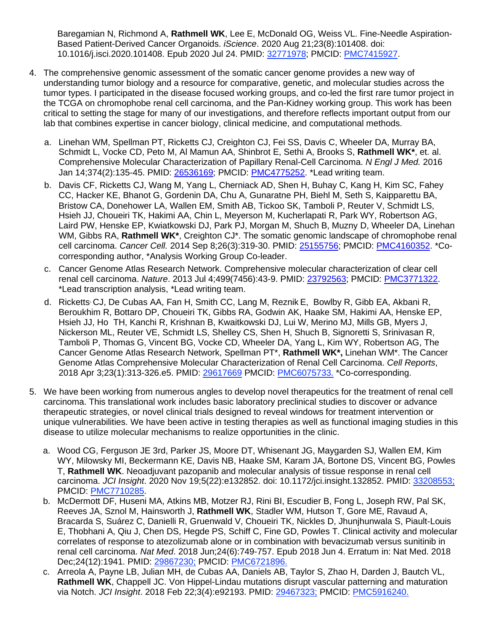Baregamian N, Richmond A, **Rathmell WK**, Lee E, McDonald OG, Weiss VL. Fine-Needle Aspiration-Based Patient-Derived Cancer Organoids. *iScience*. 2020 Aug 21;23(8):101408. doi: 10.1016/j.isci.2020.101408. Epub 2020 Jul 24. PMID: 32771978; PMCID: PMC7415927.

- 4. The comprehensive genomic assessment of the somatic cancer genome provides a new way of understanding tumor biology and a resource for comparative, genetic, and molecular studies across the tumor types. I participated in the disease focused working groups, and co-led the first rare tumor project in the TCGA on chromophobe renal cell carcinoma, and the Pan-Kidney working group. This work has been critical to setting the stage for many of our investigations, and therefore reflects important output from our lab that combines expertise in cancer biology, clinical medicine, and computational methods.
	- a. Linehan WM, Spellman PT, Ricketts CJ, Creighton CJ, Fei SS, Davis C, Wheeler DA, Murray BA, Schmidt L, Vocke CD, Peto M, Al Mamun AA, Shinbrot E, Sethi A, Brooks S, **Rathmell WK\***, et. al. Comprehensive Molecular Characterization of Papillary Renal-Cell Carcinoma. *N Engl J Med.* 2016 Jan 14;374(2):135-45. PMID: [26536169;](http://www.ncbi.nlm.nih.gov/pubmed/26536169/) PMCID: [PMC4775252.](http://www.ncbi.nlm.nih.gov/pmc/articles/PMC4775252/) \*Lead writing team.
	- b. Davis CF, Ricketts CJ, Wang M, Yang L, Cherniack AD, Shen H, Buhay C, Kang H, Kim SC, Fahey CC, Hacker KE, Bhanot G, Gordenin DA, Chu A, Gunaratne PH, Biehl M, Seth S, Kaipparettu BA, Bristow CA, Donehower LA, Wallen EM, Smith AB, Tickoo SK, Tamboli P, Reuter V, Schmidt LS, Hsieh JJ, Choueiri TK, Hakimi AA, Chin L, Meyerson M, Kucherlapati R, Park WY, Robertson AG, Laird PW, Henske EP, Kwiatkowski DJ, Park PJ, Morgan M, Shuch B, Muzny D, Wheeler DA, Linehan WM, Gibbs RA, **Rathmell WK\***, Creighton CJ\*. The somatic genomic landscape of chromophobe renal cell carcinoma. *Cancer Cell.* 2014 Sep 8;26(3):319-30. PMID: [25155756;](http://www.ncbi.nlm.nih.gov/pubmed/25155756/) PMCID: [PMC4160352.](http://www.ncbi.nlm.nih.gov/pmc/articles/PMC4160352/) \*Cocorresponding author, \*Analysis Working Group Co-leader.
	- c. Cancer Genome Atlas Research Network. Comprehensive molecular characterization of clear cell renal cell carcinoma. *Nature*. 2013 Jul 4;499(7456):43-9. PMID: [23792563;](http://www.ncbi.nlm.nih.gov/pubmed/23792563/) PMCID: [PMC3771322.](http://www.ncbi.nlm.nih.gov/pmc/articles/PMC3771322/) \*Lead transcription analysis, \*Lead writing team.
	- d. Ricketts<sup>,</sup> CJ, De Cubas AA, Fan H, Smith CC, Lang M, Reznik E, Bowlby R, Gibb EA, Akbani R, Beroukhim R, Bottaro DP, Choueiri TK, Gibbs RA, Godwin AK, Haake SM, Hakimi AA, Henske EP, Hsieh JJ, Ho TH, Kanchi R, Krishnan B, Kwaitkowski DJ, Lui W, Merino MJ, Mills GB, Myers J, Nickerson ML, Reuter VE, Schmidt LS, Shelley CS, Shen H, Shuch B, Signoretti S, Srinivasan R, Tamboli P, Thomas G, Vincent BG, Vocke CD, Wheeler DA, Yang L, Kim WY, Robertson AG, The Cancer Genome Atlas Research Network, Spellman PT\*, **Rathmell WK\*,** Linehan WM\*. The Cancer Genome Atlas Comprehensive Molecular Characterization of Renal Cell Carcinoma. *Cell Reports*, 2018 Apr 3;23(1):313-326.e5. PMID: 29617669 PMCID: [PMC6075733.](https://www.ncbi.nlm.nih.gov/pmc/articles/PMC6075733/) \*Co-corresponding.
- 5. We have been working from numerous angles to develop novel therapeutics for the treatment of renal cell carcinoma. This translational work includes basic laboratory preclinical studies to discover or advance therapeutic strategies, or novel clinical trials designed to reveal windows for treatment intervention or unique vulnerabilities. We have been active in testing therapies as well as functional imaging studies in this disease to utilize molecular mechanisms to realize opportunities in the clinic.
	- a. Wood CG, Ferguson JE 3rd, Parker JS, Moore DT, Whisenant JG, Maygarden SJ, Wallen EM, Kim WY, Milowsky MI, Beckermann KE, Davis NB, Haake SM, Karam JA, Bortone DS, Vincent BG, Powles T, **Rathmell WK**. Neoadjuvant pazopanib and molecular analysis of tissue response in renal cell carcinoma. *JCI Insight*. 2020 Nov 19;5(22):e132852. doi: 10.1172/jci.insight.132852. PMID: 33208553; PMCID: PMC7710285.
	- b. McDermott DF, Huseni MA, Atkins MB, Motzer RJ, Rini BI, Escudier B, Fong L, Joseph RW, Pal SK, Reeves JA, Sznol M, Hainsworth J, **Rathmell WK**, Stadler WM, Hutson T, Gore ME, Ravaud A, Bracarda S, Suárez C, Danielli R, Gruenwald V, Choueiri TK, Nickles D, Jhunjhunwala S, Piault-Louis E, Thobhani A, Qiu J, Chen DS, Hegde PS, Schiff C, Fine GD, Powles T. Clinical activity and molecular correlates of response to atezolizumab alone or in combination with bevacizumab versus sunitinib in renal cell carcinoma. *Nat Med*. 2018 Jun;24(6):749-757. Epub 2018 Jun 4. Erratum in: Nat Med. 2018 Dec;24(12):1941. PMID: [29867230;](https://pubmed.ncbi.nlm.nih.gov/29867230/) PMCID: [PMC6721896.](https://www.ncbi.nlm.nih.gov/pmc/articles/PMC6721896/)
	- c. Arreola A, Payne LB, Julian MH, de Cubas AA, Daniels AB, Taylor S, Zhao H, Darden J, Bautch VL, **Rathmell WK**, Chappell JC. Von Hippel-Lindau mutations disrupt vascular patterning and maturation via Notch. *JCI Insight*. 2018 Feb 22;3(4):e92193. PMID: [29467323;](https://pubmed.ncbi.nlm.nih.gov/29467323/) PMCID: [PMC5916240.](https://www.ncbi.nlm.nih.gov/pmc/articles/PMC5916240/)